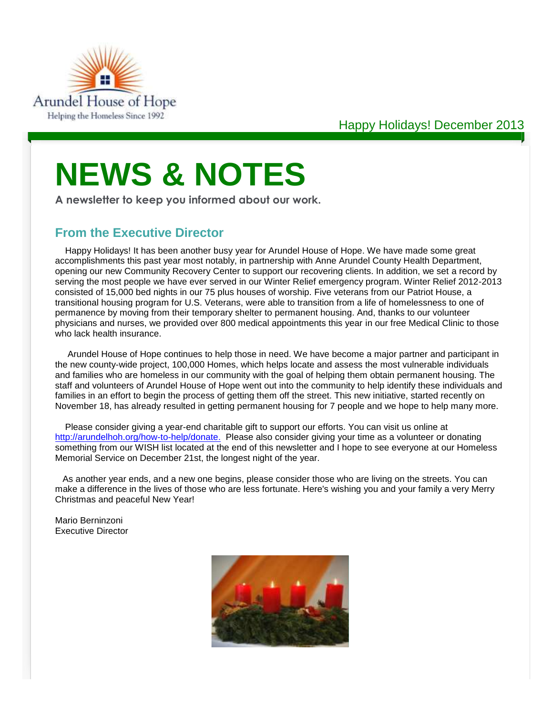

# **NEWS & NOTES**

**A newsletter to keep you informed about our work.**

# **From the Executive Director**

Happy Holidays! It has been another busy year for Arundel House of Hope. We have made some great accomplishments this past year most notably, in partnership with Anne Arundel County Health Department, opening our new Community Recovery Center to support our recovering clients. In addition, we set a record by serving the most people we have ever served in our Winter Relief emergency program. Winter Relief 2012-2013 consisted of 15,000 bed nights in our 75 plus houses of worship. Five veterans from our Patriot House, a transitional housing program for U.S. Veterans, were able to transition from a life of homelessness to one of permanence by moving from their temporary shelter to permanent housing. And, thanks to our volunteer physicians and nurses, we provided over 800 medical appointments this year in our free Medical Clinic to those who lack health insurance.

Arundel House of Hope continues to help those in need. We have become a major partner and participant in the new county-wide project, 100,000 Homes, which helps locate and assess the most vulnerable individuals and families who are homeless in our community with the goal of helping them obtain permanent housing. The staff and volunteers of Arundel House of Hope went out into the community to help identify these individuals and families in an effort to begin the process of getting them off the street. This new initiative, started recently on November 18, has already resulted in getting permanent housing for 7 people and we hope to help many more.

Please consider giving a year-end charitable gift to support our efforts. You can visit us online at [http://arundelhoh.org/how-to-help/donate.](http://arundelhoh.org/how-to-help/donate) Please also consider giving your time as a volunteer or donating something from our WISH list located at the end of this newsletter and I hope to see everyone at our Homeless Memorial Service on December 21st, the longest night of the year.

As another year ends, and a new one begins, please consider those who are living on the streets. You can make a difference in the lives of those who are less fortunate. Here's wishing you and your family a very Merry Christmas and peaceful New Year!

Mario Berninzoni Executive Director

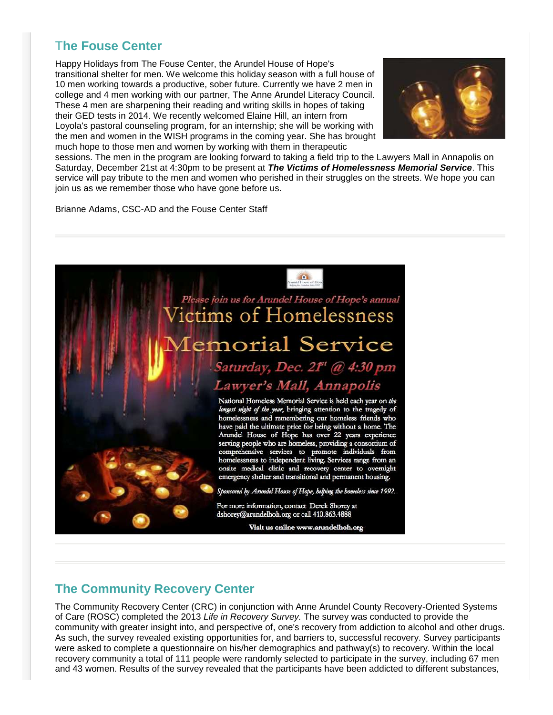# T**he Fouse Center**

Happy Holidays from The Fouse Center, the Arundel House of Hope's transitional shelter for men. We welcome this holiday season with a full house of 10 men working towards a productive, sober future. Currently we have 2 men in college and 4 men working with our partner, The Anne Arundel Literacy Council. These 4 men are sharpening their reading and writing skills in hopes of taking their GED tests in 2014. We recently welcomed Elaine Hill, an intern from Loyola's pastoral counseling program, for an internship; she will be working with the men and women in the WISH programs in the coming year. She has brought much hope to those men and women by working with them in therapeutic



sessions. The men in the program are looking forward to taking a field trip to the Lawyers Mall in Annapolis on Saturday, December 21st at 4:30pm to be present at *The Victims of Homelessness Memorial Service*. This service will pay tribute to the men and women who perished in their struggles on the streets. We hope you can join us as we remember those who have gone before us.

Brianne Adams, CSC-AD and the Fouse Center Staff



# **The Community Recovery Center**

The Community Recovery Center (CRC) in conjunction with Anne Arundel County Recovery-Oriented Systems of Care (ROSC) completed the 2013 *Life in Recovery Survey.* The survey was conducted to provide the community with greater insight into, and perspective of, one's recovery from addiction to alcohol and other drugs. As such, the survey revealed existing opportunities for, and barriers to, successful recovery. Survey participants were asked to complete a questionnaire on his/her demographics and pathway(s) to recovery. Within the local recovery community a total of 111 people were randomly selected to participate in the survey, including 67 men and 43 women. Results of the survey revealed that the participants have been addicted to different substances,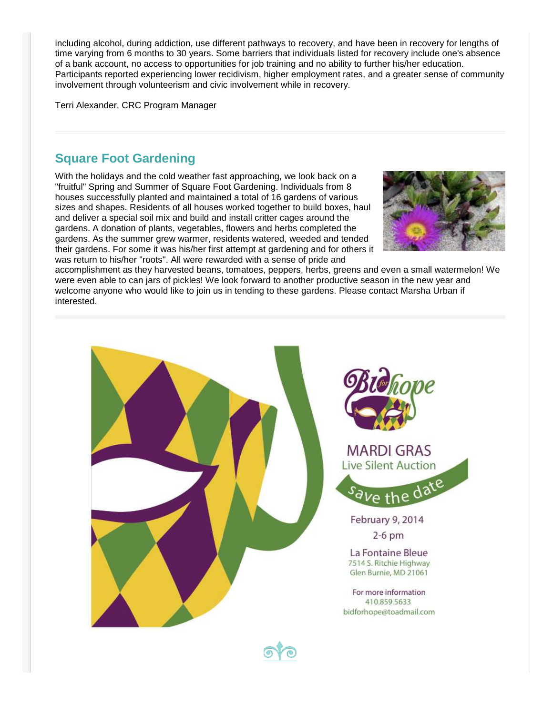including alcohol, during addiction, use different pathways to recovery, and have been in recovery for lengths of time varying from 6 months to 30 years. Some barriers that individuals listed for recovery include one's absence of a bank account, no access to opportunities for job training and no ability to further his/her education. Participants reported experiencing lower recidivism, higher employment rates, and a greater sense of community involvement through volunteerism and civic involvement while in recovery.

Terri Alexander, CRC Program Manager

### **Square Foot Gardening**

With the holidays and the cold weather fast approaching, we look back on a "fruitful" Spring and Summer of Square Foot Gardening. Individuals from 8 houses successfully planted and maintained a total of 16 gardens of various sizes and shapes. Residents of all houses worked together to build boxes, haul and deliver a special soil mix and build and install critter cages around the gardens. A donation of plants, vegetables, flowers and herbs completed the gardens. As the summer grew warmer, residents watered, weeded and tended their gardens. For some it was his/her first attempt at gardening and for others it was return to his/her "roots". All were rewarded with a sense of pride and



accomplishment as they harvested beans, tomatoes, peppers, herbs, greens and even a small watermelon! We were even able to can jars of pickles! We look forward to another productive season in the new year and welcome anyone who would like to join us in tending to these gardens. Please contact Marsha Urban if interested.